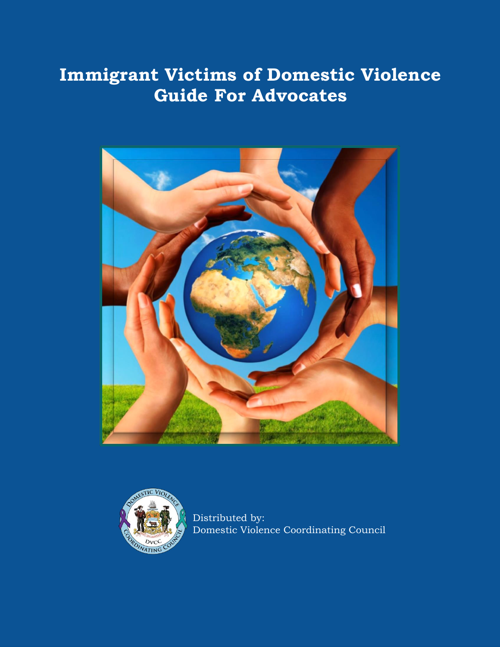# **Immigrant Victims of Domestic Violence Guide For Advocates**





Distributed by: Domestic Violence Coordinating Council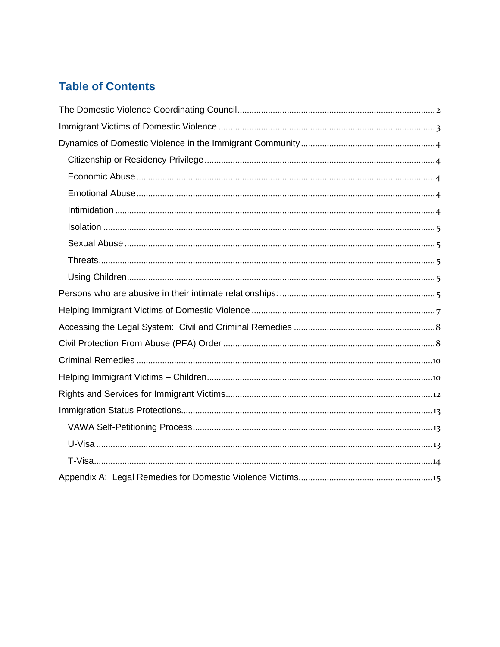## **Table of Contents**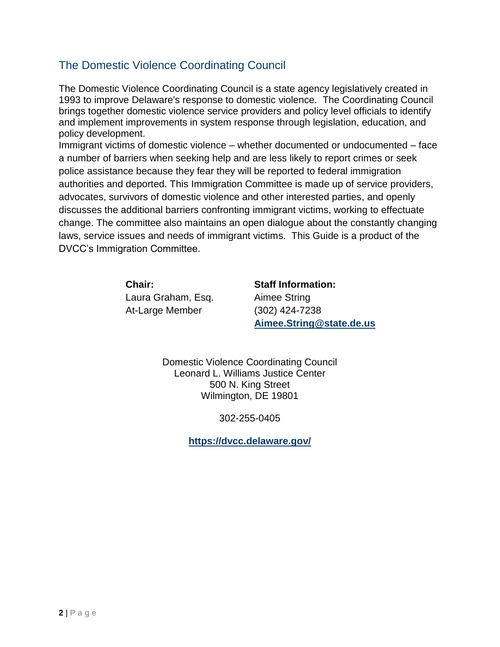## <span id="page-3-0"></span>The Domestic Violence Coordinating Council

The Domestic Violence Coordinating Council is a state agency legislatively created in 1993 to improve Delaware's response to domestic violence. The Coordinating Council brings together domestic violence service providers and policy level officials to identify and implement improvements in system response through legislation, education, and policy development.

Immigrant victims of domestic violence – whether documented or undocumented – face a number of barriers when seeking help and are less likely to report crimes or seek police assistance because they fear they will be reported to federal immigration authorities and deported. This Immigration Committee is made up of service providers, advocates, survivors of domestic violence and other interested parties, and openly discusses the additional barriers confronting immigrant victims, working to effectuate change. The committee also maintains an open dialogue about the constantly changing laws, service issues and needs of immigrant victims. This Guide is a product of the DVCC's Immigration Committee.

> **Chair:** Laura Graham, Esq. At-Large Member

**Staff Information:** Aimee String (302) 424-7238 **[Aimee.String@state.de.us](mailto:Aimee.String@state.de.us)**

Domestic Violence Coordinating Council Leonard L. Williams Justice Center 500 N. King Street Wilmington, DE 19801

302-255-0405

**<https://dvcc.delaware.gov/>**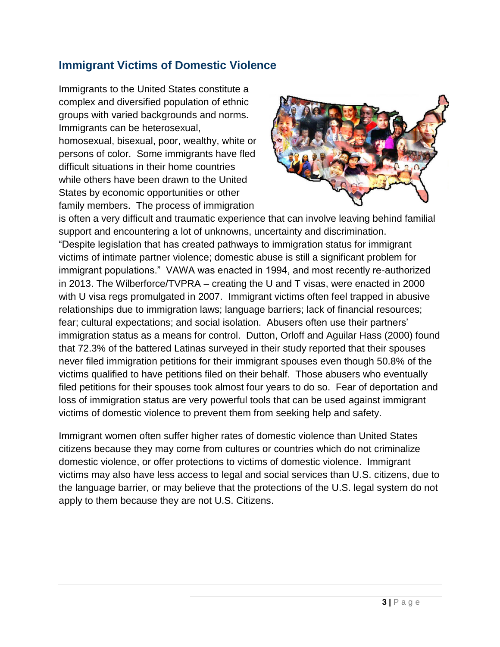## <span id="page-4-0"></span>**Immigrant Victims of Domestic Violence**

Immigrants to the United States constitute a complex and diversified population of ethnic groups with varied backgrounds and norms. Immigrants can be heterosexual, homosexual, bisexual, poor, wealthy, white or persons of color. Some immigrants have fled difficult situations in their home countries while others have been drawn to the United States by economic opportunities or other family members. The process of immigration



is often a very difficult and traumatic experience that can involve leaving behind familial support and encountering a lot of unknowns, uncertainty and discrimination. "Despite legislation that has created pathways to immigration status for immigrant victims of intimate partner violence; domestic abuse is still a significant problem for immigrant populations." VAWA was enacted in 1994, and most recently re-authorized in 2013. The Wilberforce/TVPRA – creating the U and T visas, were enacted in 2000 with U visa regs promulgated in 2007. Immigrant victims often feel trapped in abusive relationships due to immigration laws; language barriers; lack of financial resources; fear; cultural expectations; and social isolation. Abusers often use their partners' immigration status as a means for control. Dutton, Orloff and Aguilar Hass (2000) found that 72.3% of the battered Latinas surveyed in their study reported that their spouses never filed immigration petitions for their immigrant spouses even though 50.8% of the victims qualified to have petitions filed on their behalf. Those abusers who eventually filed petitions for their spouses took almost four years to do so. Fear of deportation and loss of immigration status are very powerful tools that can be used against immigrant victims of domestic violence to prevent them from seeking help and safety.

Immigrant women often suffer higher rates of domestic violence than United States citizens because they may come from cultures or countries which do not criminalize domestic violence, or offer protections to victims of domestic violence. Immigrant victims may also have less access to legal and social services than U.S. citizens, due to the language barrier, or may believe that the protections of the U.S. legal system do not apply to them because they are not U.S. Citizens.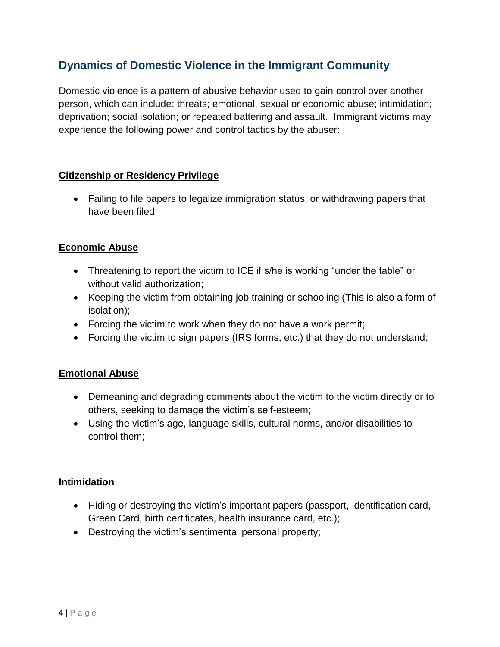## <span id="page-5-0"></span>**Dynamics of Domestic Violence in the Immigrant Community**

Domestic violence is a pattern of abusive behavior used to gain control over another person, which can include: threats; emotional, sexual or economic abuse; intimidation; deprivation; social isolation; or repeated battering and assault. Immigrant victims may experience the following power and control tactics by the abuser:

#### <span id="page-5-1"></span>**Citizenship or Residency Privilege**

 Failing to file papers to legalize immigration status, or withdrawing papers that have been filed;

#### <span id="page-5-2"></span>**Economic Abuse**

- Threatening to report the victim to ICE if s/he is working "under the table" or without valid authorization;
- Keeping the victim from obtaining job training or schooling (This is also a form of isolation);
- Forcing the victim to work when they do not have a work permit;
- Forcing the victim to sign papers (IRS forms, etc.) that they do not understand;

#### <span id="page-5-3"></span>**Emotional Abuse**

- Demeaning and degrading comments about the victim to the victim directly or to others, seeking to damage the victim's self-esteem;
- Using the victim's age, language skills, cultural norms, and/or disabilities to control them;

#### <span id="page-5-4"></span>**Intimidation**

- Hiding or destroying the victim's important papers (passport, identification card, Green Card, birth certificates, health insurance card, etc.);
- Destroying the victim's sentimental personal property;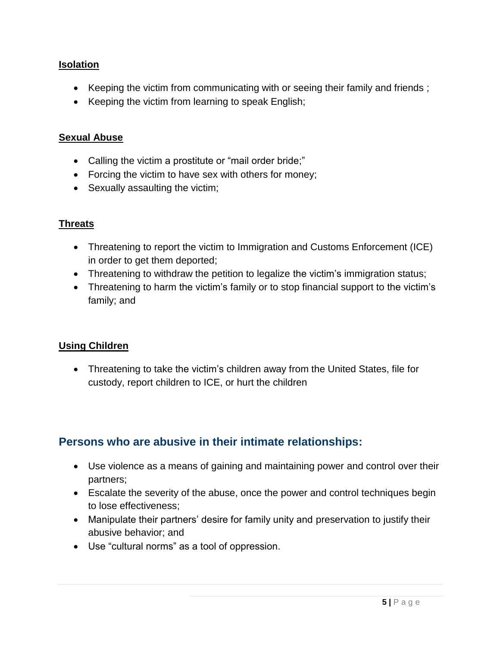#### <span id="page-6-0"></span>**Isolation**

- Keeping the victim from communicating with or seeing their family and friends;
- Keeping the victim from learning to speak English;

#### <span id="page-6-1"></span>**Sexual Abuse**

- Calling the victim a prostitute or "mail order bride;"
- Forcing the victim to have sex with others for money;
- Sexually assaulting the victim;

#### <span id="page-6-2"></span>**Threats**

- Threatening to report the victim to Immigration and Customs Enforcement (ICE) in order to get them deported;
- Threatening to withdraw the petition to legalize the victim's immigration status;
- Threatening to harm the victim's family or to stop financial support to the victim's family; and

#### <span id="page-6-3"></span>**Using Children**

 Threatening to take the victim's children away from the United States, file for custody, report children to ICE, or hurt the children

### <span id="page-6-4"></span>**Persons who are abusive in their intimate relationships:**

- Use violence as a means of gaining and maintaining power and control over their partners;
- Escalate the severity of the abuse, once the power and control techniques begin to lose effectiveness;
- Manipulate their partners' desire for family unity and preservation to justify their abusive behavior; and
- Use "cultural norms" as a tool of oppression.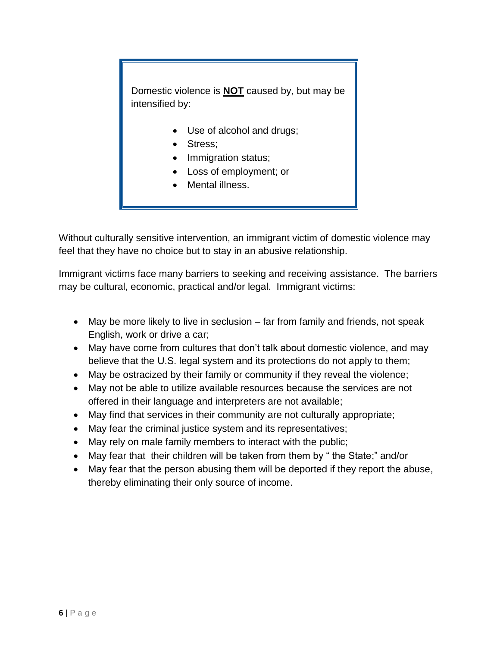Domestic violence is **NOT** caused by, but may be intensified by:

- Use of alcohol and drugs;
- Stress:
- Immigration status;
- Loss of employment; or
- Mental illness.

Without culturally sensitive intervention, an immigrant victim of domestic violence may feel that they have no choice but to stay in an abusive relationship.

Immigrant victims face many barriers to seeking and receiving assistance. The barriers may be cultural, economic, practical and/or legal. Immigrant victims:

- May be more likely to live in seclusion far from family and friends, not speak English, work or drive a car;
- May have come from cultures that don't talk about domestic violence, and may believe that the U.S. legal system and its protections do not apply to them;
- May be ostracized by their family or community if they reveal the violence;
- May not be able to utilize available resources because the services are not offered in their language and interpreters are not available;
- May find that services in their community are not culturally appropriate;
- May fear the criminal justice system and its representatives;
- May rely on male family members to interact with the public;
- May fear that their children will be taken from them by " the State;" and/or
- May fear that the person abusing them will be deported if they report the abuse, thereby eliminating their only source of income.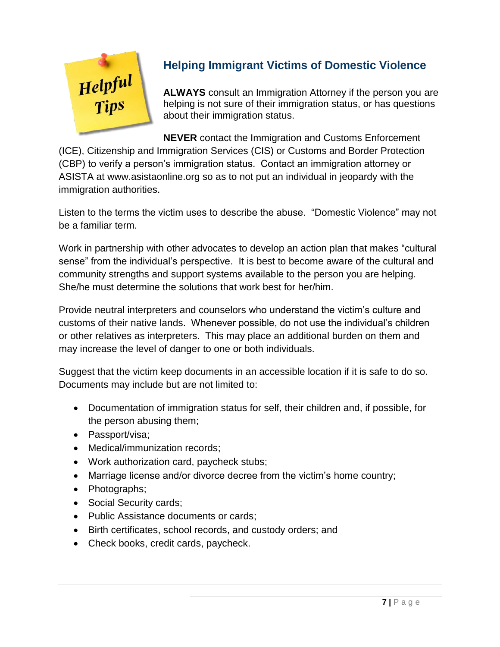

## <span id="page-8-0"></span>**Helping Immigrant Victims of Domestic Violence**

**ALWAYS** consult an Immigration Attorney if the person you are helping is not sure of their immigration status, or has questions about their immigration status.

**NEVER** contact the Immigration and Customs Enforcement (ICE), Citizenship and Immigration Services (CIS) or Customs and Border Protection (CBP) to verify a person's immigration status. Contact an immigration attorney or ASISTA at www.asistaonline.org so as to not put an individual in jeopardy with the immigration authorities.

Listen to the terms the victim uses to describe the abuse. "Domestic Violence" may not be a familiar term.

Work in partnership with other advocates to develop an action plan that makes "cultural sense" from the individual's perspective. It is best to become aware of the cultural and community strengths and support systems available to the person you are helping. She/he must determine the solutions that work best for her/him.

Provide neutral interpreters and counselors who understand the victim's culture and customs of their native lands. Whenever possible, do not use the individual's children or other relatives as interpreters. This may place an additional burden on them and may increase the level of danger to one or both individuals.

Suggest that the victim keep documents in an accessible location if it is safe to do so. Documents may include but are not limited to:

- Documentation of immigration status for self, their children and, if possible, for the person abusing them;
- Passport/visa;
- Medical/immunization records;
- Work authorization card, paycheck stubs;
- Marriage license and/or divorce decree from the victim's home country;
- Photographs;
- Social Security cards;
- Public Assistance documents or cards;
- Birth certificates, school records, and custody orders; and
- Check books, credit cards, paycheck.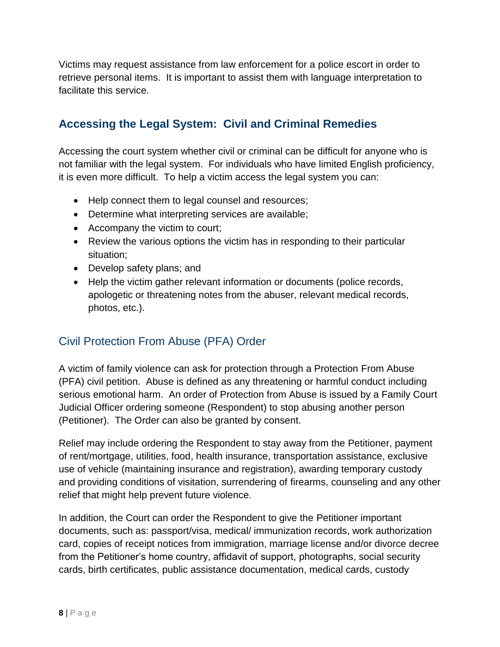Victims may request assistance from law enforcement for a police escort in order to retrieve personal items. It is important to assist them with language interpretation to facilitate this service.

## <span id="page-9-0"></span>**Accessing the Legal System: Civil and Criminal Remedies**

Accessing the court system whether civil or criminal can be difficult for anyone who is not familiar with the legal system. For individuals who have limited English proficiency, it is even more difficult. To help a victim access the legal system you can:

- Help connect them to legal counsel and resources;
- Determine what interpreting services are available;
- Accompany the victim to court;
- Review the various options the victim has in responding to their particular situation;
- Develop safety plans; and
- Help the victim gather relevant information or documents (police records, apologetic or threatening notes from the abuser, relevant medical records, photos, etc.).

## <span id="page-9-1"></span>Civil Protection From Abuse (PFA) Order

A victim of family violence can ask for protection through a Protection From Abuse (PFA) civil petition. Abuse is defined as any threatening or harmful conduct including serious emotional harm. An order of Protection from Abuse is issued by a Family Court Judicial Officer ordering someone (Respondent) to stop abusing another person (Petitioner). The Order can also be granted by consent.

Relief may include ordering the Respondent to stay away from the Petitioner, payment of rent/mortgage, utilities, food, health insurance, transportation assistance, exclusive use of vehicle (maintaining insurance and registration), awarding temporary custody and providing conditions of visitation, surrendering of firearms, counseling and any other relief that might help prevent future violence.

In addition, the Court can order the Respondent to give the Petitioner important documents, such as: passport/visa, medical/ immunization records, work authorization card, copies of receipt notices from immigration, marriage license and/or divorce decree from the Petitioner's home country, affidavit of support, photographs, social security cards, birth certificates, public assistance documentation, medical cards, custody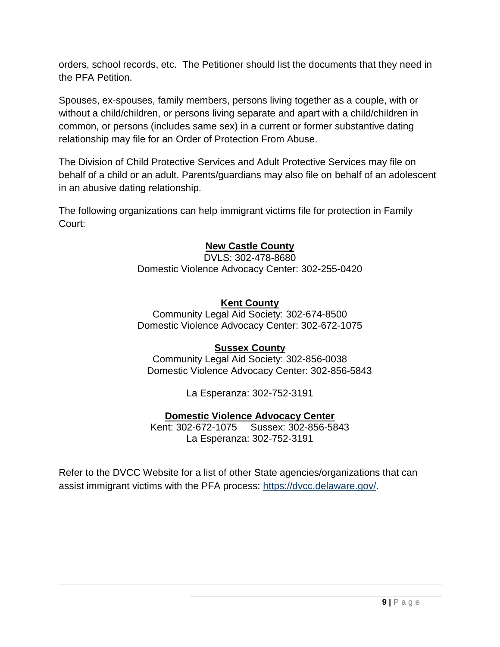orders, school records, etc. The Petitioner should list the documents that they need in the PFA Petition.

Spouses, ex-spouses, family members, persons living together as a couple, with or without a child/children, or persons living separate and apart with a child/children in common, or persons (includes same sex) in a current or former substantive dating relationship may file for an Order of Protection From Abuse.

The Division of Child Protective Services and Adult Protective Services may file on behalf of a child or an adult. Parents/guardians may also file on behalf of an adolescent in an abusive dating relationship.

The following organizations can help immigrant victims file for protection in Family Court:

#### **New Castle County**

DVLS: 302-478-8680 Domestic Violence Advocacy Center: 302-255-0420

#### **Kent County**

Community Legal Aid Society: 302-674-8500 Domestic Violence Advocacy Center: 302-672-1075

#### **Sussex County**

Community Legal Aid Society: 302-856-0038 Domestic Violence Advocacy Center: 302-856-5843

La Esperanza: 302-752-3191

#### **Domestic Violence Advocacy Center**

Kent: 302-672-1075 Sussex: 302-856-5843 La Esperanza: 302-752-3191

Refer to the DVCC Website for a list of other State agencies/organizations that can assist immigrant victims with the PFA process: [https://dvcc.delaware.gov/.](https://dvcc.delaware.gov/)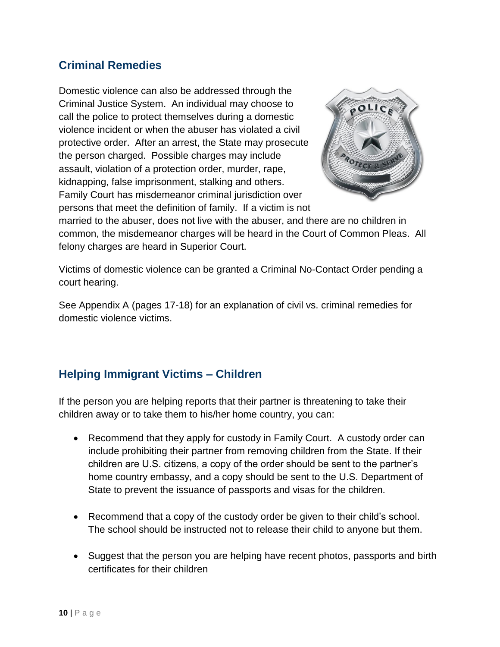## <span id="page-11-0"></span>**Criminal Remedies**

Domestic violence can also be addressed through the Criminal Justice System. An individual may choose to call the police to protect themselves during a domestic violence incident or when the abuser has violated a civil protective order. After an arrest, the State may prosecute the person charged. Possible charges may include assault, violation of a protection order, murder, rape, kidnapping, false imprisonment, stalking and others. Family Court has misdemeanor criminal jurisdiction over persons that meet the definition of family. If a victim is not



married to the abuser, does not live with the abuser, and there are no children in common, the misdemeanor charges will be heard in the Court of Common Pleas. All felony charges are heard in Superior Court.

Victims of domestic violence can be granted a Criminal No-Contact Order pending a court hearing.

See Appendix A (pages 17-18) for an explanation of civil vs. criminal remedies for domestic violence victims.

## <span id="page-11-1"></span>**Helping Immigrant Victims – Children**

If the person you are helping reports that their partner is threatening to take their children away or to take them to his/her home country, you can:

- Recommend that they apply for custody in Family Court. A custody order can include prohibiting their partner from removing children from the State. If their children are U.S. citizens, a copy of the order should be sent to the partner's home country embassy, and a copy should be sent to the U.S. Department of State to prevent the issuance of passports and visas for the children.
- Recommend that a copy of the custody order be given to their child's school. The school should be instructed not to release their child to anyone but them.
- Suggest that the person you are helping have recent photos, passports and birth certificates for their children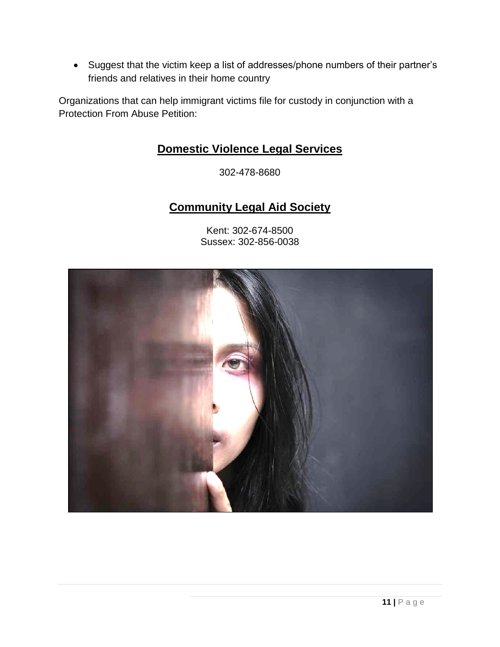Suggest that the victim keep a list of addresses/phone numbers of their partner's friends and relatives in their home country

Organizations that can help immigrant victims file for custody in conjunction with a Protection From Abuse Petition:

## **Domestic Violence Legal Services**

302-478-8680

## **Community Legal Aid Society**

Kent: 302-674-8500 Sussex: 302-856-0038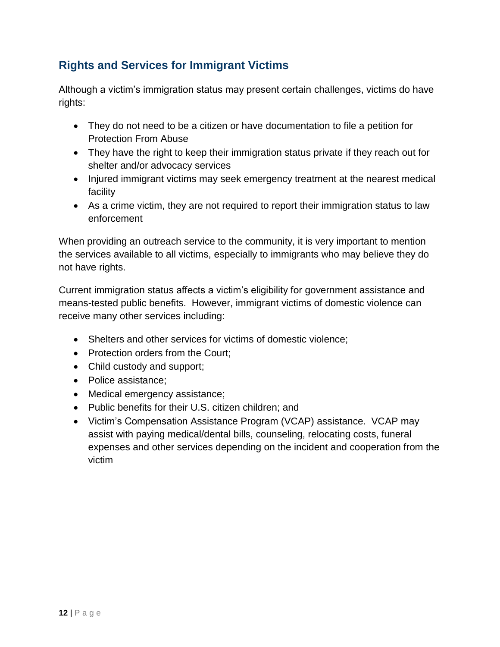## <span id="page-13-0"></span>**Rights and Services for Immigrant Victims**

Although a victim's immigration status may present certain challenges, victims do have rights:

- They do not need to be a citizen or have documentation to file a petition for Protection From Abuse
- They have the right to keep their immigration status private if they reach out for shelter and/or advocacy services
- Injured immigrant victims may seek emergency treatment at the nearest medical facility
- As a crime victim, they are not required to report their immigration status to law enforcement

When providing an outreach service to the community, it is very important to mention the services available to all victims, especially to immigrants who may believe they do not have rights.

Current immigration status affects a victim's eligibility for government assistance and means-tested public benefits. However, immigrant victims of domestic violence can receive many other services including:

- Shelters and other services for victims of domestic violence:
- Protection orders from the Court;
- Child custody and support;
- Police assistance:
- Medical emergency assistance;
- Public benefits for their U.S. citizen children; and
- Victim's Compensation Assistance Program (VCAP) assistance. VCAP may assist with paying medical/dental bills, counseling, relocating costs, funeral expenses and other services depending on the incident and cooperation from the victim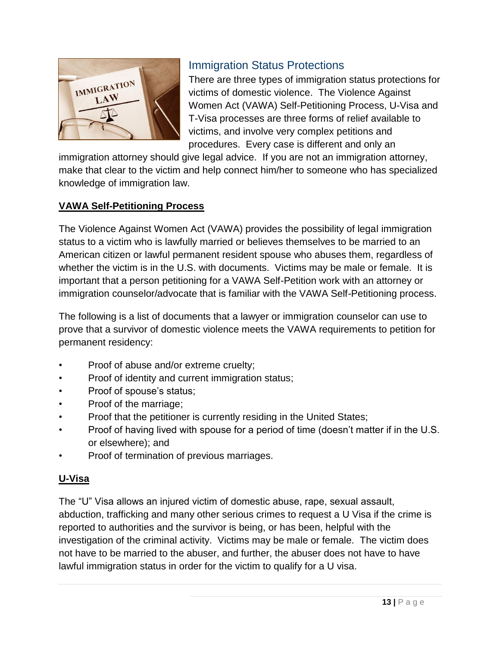

## <span id="page-14-0"></span>Immigration Status Protections

There are three types of immigration status protections for victims of domestic violence. The Violence Against Women Act (VAWA) Self-Petitioning Process, U-Visa and T-Visa processes are three forms of relief available to victims, and involve very complex petitions and procedures. Every case is different and only an

immigration attorney should give legal advice. If you are not an immigration attorney, make that clear to the victim and help connect him/her to someone who has specialized knowledge of immigration law.

#### <span id="page-14-1"></span>**VAWA Self-Petitioning Process**

The Violence Against Women Act (VAWA) provides the possibility of legal immigration status to a victim who is lawfully married or believes themselves to be married to an American citizen or lawful permanent resident spouse who abuses them, regardless of whether the victim is in the U.S. with documents. Victims may be male or female. It is important that a person petitioning for a VAWA Self-Petition work with an attorney or immigration counselor/advocate that is familiar with the VAWA Self-Petitioning process.

The following is a list of documents that a lawyer or immigration counselor can use to prove that a survivor of domestic violence meets the VAWA requirements to petition for permanent residency:

- Proof of abuse and/or extreme cruelty;
- Proof of identity and current immigration status;
- Proof of spouse's status;
- Proof of the marriage;
- Proof that the petitioner is currently residing in the United States;
- Proof of having lived with spouse for a period of time (doesn't matter if in the U.S. or elsewhere); and
- Proof of termination of previous marriages.

#### <span id="page-14-2"></span>**U-Visa**

The "U" Visa allows an injured victim of domestic abuse, rape, sexual assault, abduction, trafficking and many other serious crimes to request a U Visa if the crime is reported to authorities and the survivor is being, or has been, helpful with the investigation of the criminal activity. Victims may be male or female. The victim does not have to be married to the abuser, and further, the abuser does not have to have lawful immigration status in order for the victim to qualify for a U visa.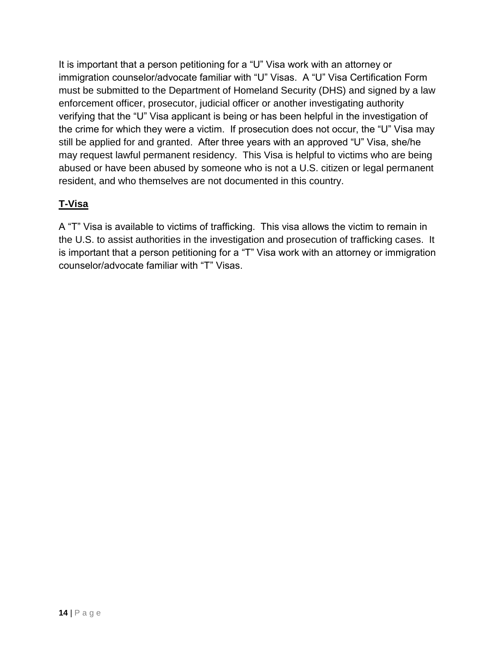It is important that a person petitioning for a "U" Visa work with an attorney or immigration counselor/advocate familiar with "U" Visas. A "U" Visa Certification Form must be submitted to the Department of Homeland Security (DHS) and signed by a law enforcement officer, prosecutor, judicial officer or another investigating authority verifying that the "U" Visa applicant is being or has been helpful in the investigation of the crime for which they were a victim. If prosecution does not occur, the "U" Visa may still be applied for and granted. After three years with an approved "U" Visa, she/he may request lawful permanent residency. This Visa is helpful to victims who are being abused or have been abused by someone who is not a U.S. citizen or legal permanent resident, and who themselves are not documented in this country.

## <span id="page-15-0"></span>**T-Visa**

A "T" Visa is available to victims of trafficking. This visa allows the victim to remain in the U.S. to assist authorities in the investigation and prosecution of trafficking cases. It is important that a person petitioning for a "T" Visa work with an attorney or immigration counselor/advocate familiar with "T" Visas.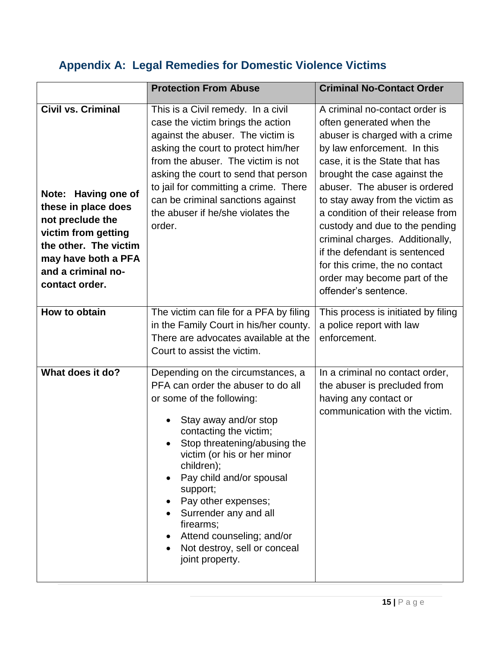## <span id="page-16-0"></span>**Appendix A: Legal Remedies for Domestic Violence Victims**

|                                                                                                                                                                                                            | <b>Protection From Abuse</b>                                                                                                                                                                                                                                                                                                                                                                                              | <b>Criminal No-Contact Order</b>                                                                                                                                                                                                                                                                                                                                                                                                                                                                       |
|------------------------------------------------------------------------------------------------------------------------------------------------------------------------------------------------------------|---------------------------------------------------------------------------------------------------------------------------------------------------------------------------------------------------------------------------------------------------------------------------------------------------------------------------------------------------------------------------------------------------------------------------|--------------------------------------------------------------------------------------------------------------------------------------------------------------------------------------------------------------------------------------------------------------------------------------------------------------------------------------------------------------------------------------------------------------------------------------------------------------------------------------------------------|
| <b>Civil vs. Criminal</b><br>Note: Having one of<br>these in place does<br>not preclude the<br>victim from getting<br>the other. The victim<br>may have both a PFA<br>and a criminal no-<br>contact order. | This is a Civil remedy. In a civil<br>case the victim brings the action<br>against the abuser. The victim is<br>asking the court to protect him/her<br>from the abuser. The victim is not<br>asking the court to send that person<br>to jail for committing a crime. There<br>can be criminal sanctions against<br>the abuser if he/she violates the<br>order.                                                            | A criminal no-contact order is<br>often generated when the<br>abuser is charged with a crime<br>by law enforcement. In this<br>case, it is the State that has<br>brought the case against the<br>abuser. The abuser is ordered<br>to stay away from the victim as<br>a condition of their release from<br>custody and due to the pending<br>criminal charges. Additionally,<br>if the defendant is sentenced<br>for this crime, the no contact<br>order may become part of the<br>offender's sentence. |
| How to obtain                                                                                                                                                                                              | The victim can file for a PFA by filing<br>in the Family Court in his/her county.<br>There are advocates available at the<br>Court to assist the victim.                                                                                                                                                                                                                                                                  | This process is initiated by filing<br>a police report with law<br>enforcement.                                                                                                                                                                                                                                                                                                                                                                                                                        |
| What does it do?                                                                                                                                                                                           | Depending on the circumstances, a<br>PFA can order the abuser to do all<br>or some of the following:<br>Stay away and/or stop<br>contacting the victim;<br>Stop threatening/abusing the<br>victim (or his or her minor<br>children);<br>Pay child and/or spousal<br>support;<br>Pay other expenses;<br>Surrender any and all<br>firearms;<br>Attend counseling; and/or<br>Not destroy, sell or conceal<br>joint property. | In a criminal no contact order,<br>the abuser is precluded from<br>having any contact or<br>communication with the victim.                                                                                                                                                                                                                                                                                                                                                                             |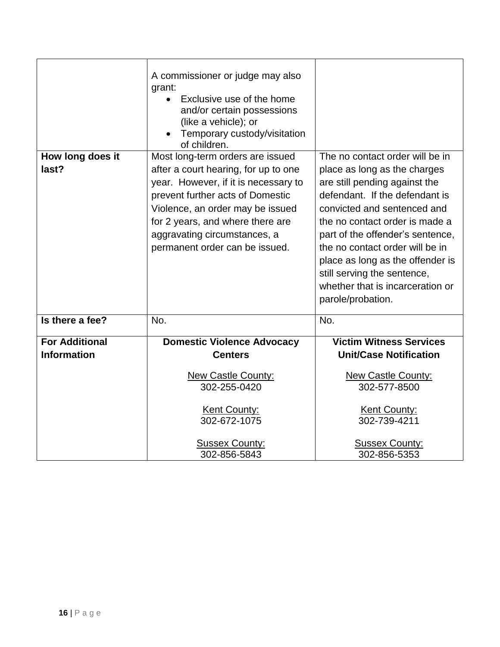| How long does it<br>last? | A commissioner or judge may also<br>grant:<br>Exclusive use of the home<br>and/or certain possessions<br>(like a vehicle); or<br>Temporary custody/visitation<br>of children.<br>Most long-term orders are issued<br>after a court hearing, for up to one<br>year. However, if it is necessary to<br>prevent further acts of Domestic<br>Violence, an order may be issued<br>for 2 years, and where there are<br>aggravating circumstances, a<br>permanent order can be issued. | The no contact order will be in<br>place as long as the charges<br>are still pending against the<br>defendant. If the defendant is<br>convicted and sentenced and<br>the no contact order is made a<br>part of the offender's sentence,<br>the no contact order will be in<br>place as long as the offender is<br>still serving the sentence,<br>whether that is incarceration or<br>parole/probation. |
|---------------------------|---------------------------------------------------------------------------------------------------------------------------------------------------------------------------------------------------------------------------------------------------------------------------------------------------------------------------------------------------------------------------------------------------------------------------------------------------------------------------------|--------------------------------------------------------------------------------------------------------------------------------------------------------------------------------------------------------------------------------------------------------------------------------------------------------------------------------------------------------------------------------------------------------|
|                           |                                                                                                                                                                                                                                                                                                                                                                                                                                                                                 |                                                                                                                                                                                                                                                                                                                                                                                                        |
| Is there a fee?           | No.                                                                                                                                                                                                                                                                                                                                                                                                                                                                             | No.                                                                                                                                                                                                                                                                                                                                                                                                    |
| <b>For Additional</b>     | <b>Domestic Violence Advocacy</b>                                                                                                                                                                                                                                                                                                                                                                                                                                               | <b>Victim Witness Services</b>                                                                                                                                                                                                                                                                                                                                                                         |
| <b>Information</b>        | <b>Centers</b>                                                                                                                                                                                                                                                                                                                                                                                                                                                                  | <b>Unit/Case Notification</b>                                                                                                                                                                                                                                                                                                                                                                          |
|                           | <b>New Castle County:</b><br>302-255-0420                                                                                                                                                                                                                                                                                                                                                                                                                                       | <b>New Castle County:</b><br>302-577-8500                                                                                                                                                                                                                                                                                                                                                              |
|                           | <b>Kent County:</b><br>302-672-1075                                                                                                                                                                                                                                                                                                                                                                                                                                             | <b>Kent County:</b><br>302-739-4211                                                                                                                                                                                                                                                                                                                                                                    |
|                           | <b>Sussex County:</b><br>302-856-5843                                                                                                                                                                                                                                                                                                                                                                                                                                           | <b>Sussex County:</b><br>302-856-5353                                                                                                                                                                                                                                                                                                                                                                  |